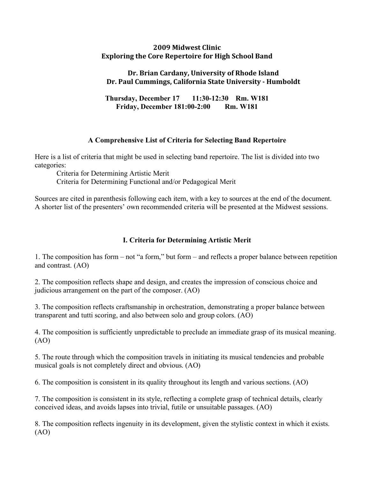#### **2009
Midwest
Clinic Exploring
the
Core
Repertoire
for
High
School
Band**

## **Dr.
Brian
Cardany,
University
of
Rhode
Island Dr.
Paul
Cummings,
California
State
University

Humboldt**

**Thursday, December 17 11:30-12:30 Rm. W181 Friday, December 181:00-2:00 Rm. W181**

# **A Comprehensive List of Criteria for Selecting Band Repertoire**

Here is a list of criteria that might be used in selecting band repertoire. The list is divided into two categories:

Criteria for Determining Artistic Merit Criteria for Determining Functional and/or Pedagogical Merit

Sources are cited in parenthesis following each item, with a key to sources at the end of the document. A shorter list of the presenters' own recommended criteria will be presented at the Midwest sessions.

# **I. Criteria for Determining Artistic Merit**

1. The composition has form – not "a form," but form – and reflects a proper balance between repetition and contrast. (AO)

2. The composition reflects shape and design, and creates the impression of conscious choice and judicious arrangement on the part of the composer. (AO)

3. The composition reflects craftsmanship in orchestration, demonstrating a proper balance between transparent and tutti scoring, and also between solo and group colors. (AO)

4. The composition is sufficiently unpredictable to preclude an immediate grasp of its musical meaning. (AO)

5. The route through which the composition travels in initiating its musical tendencies and probable musical goals is not completely direct and obvious. (AO)

6. The composition is consistent in its quality throughout its length and various sections. (AO)

7. The composition is consistent in its style, reflecting a complete grasp of technical details, clearly conceived ideas, and avoids lapses into trivial, futile or unsuitable passages. (AO)

8. The composition reflects ingenuity in its development, given the stylistic context in which it exists. (AO)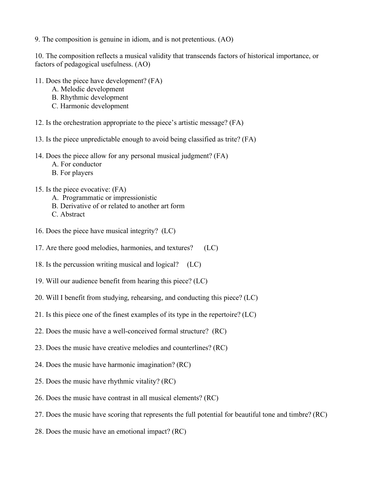9. The composition is genuine in idiom, and is not pretentious. (AO)

10. The composition reflects a musical validity that transcends factors of historical importance, or factors of pedagogical usefulness. (AO)

- 11. Does the piece have development? (FA)
	- A. Melodic development
	- B. Rhythmic development
	- C. Harmonic development
- 12. Is the orchestration appropriate to the piece's artistic message? (FA)
- 13. Is the piece unpredictable enough to avoid being classified as trite? (FA)
- 14. Does the piece allow for any personal musical judgment? (FA)
	- A. For conductor
	- B. For players
- 15. Is the piece evocative: (FA)
	- A. Programmatic or impressionistic
	- B. Derivative of or related to another art form
	- C. Abstract
- 16. Does the piece have musical integrity? (LC)
- 17. Are there good melodies, harmonies, and textures? (LC)
- 18. Is the percussion writing musical and logical? (LC)
- 19. Will our audience benefit from hearing this piece? (LC)
- 20. Will I benefit from studying, rehearsing, and conducting this piece? (LC)
- 21. Is this piece one of the finest examples of its type in the repertoire? (LC)
- 22. Does the music have a well-conceived formal structure? (RC)
- 23. Does the music have creative melodies and counterlines? (RC)
- 24. Does the music have harmonic imagination? (RC)
- 25. Does the music have rhythmic vitality? (RC)
- 26. Does the music have contrast in all musical elements? (RC)
- 27. Does the music have scoring that represents the full potential for beautiful tone and timbre? (RC)
- 28. Does the music have an emotional impact? (RC)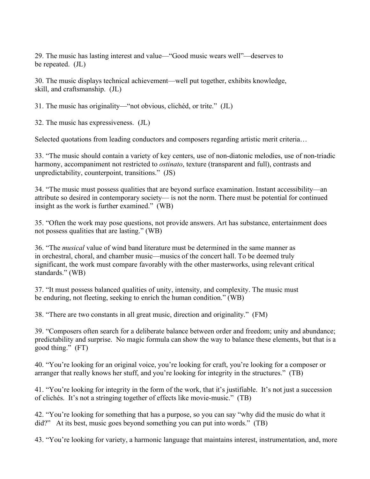29. The music has lasting interest and value—"Good music wears well"—deserves to be repeated. (JL)

30. The music displays technical achievement—well put together, exhibits knowledge, skill, and craftsmanship. (JL)

31. The music has originality—"not obvious, clichéd, or trite." (JL)

32. The music has expressiveness. (JL)

Selected quotations from leading conductors and composers regarding artistic merit criteria...

33. "The music should contain a variety of key centers, use of non-diatonic melodies, use of non-triadic harmony, accompaniment not restricted to *ostinato*, texture (transparent and full), contrasts and unpredictability, counterpoint, transitions." (JS)

34. "The music must possess qualities that are beyond surface examination. Instant accessibility—an attribute so desired in contemporary society— is not the norm. There must be potential for continued insight as the work is further examined." (WB)

35. "Often the work may pose questions, not provide answers. Art has substance, entertainment does not possess qualities that are lasting." (WB)

36. "The *musical* value of wind band literature must be determined in the same manner as in orchestral, choral, and chamber music—musics of the concert hall. To be deemed truly significant, the work must compare favorably with the other masterworks, using relevant critical standards." (WB)

37. "It must possess balanced qualities of unity, intensity, and complexity. The music must be enduring, not fleeting, seeking to enrich the human condition." (WB)

38. "There are two constants in all great music, direction and originality." (FM)

39. "Composers often search for a deliberate balance between order and freedom; unity and abundance; predictability and surprise. No magic formula can show the way to balance these elements, but that is a good thing." (FT)

40. "You're looking for an original voice, you're looking for craft, you're looking for a composer or arranger that really knows her stuff, and you're looking for integrity in the structures." (TB)

41. "You're looking for integrity in the form of the work, that it's justifiable. It's not just a succession of clichés. It's not a stringing together of effects like movie-music." (TB)

42. "You're looking for something that has a purpose, so you can say "why did the music do what it did?" At its best, music goes beyond something you can put into words." (TB)

43. "You're looking for variety, a harmonic language that maintains interest, instrumentation, and, more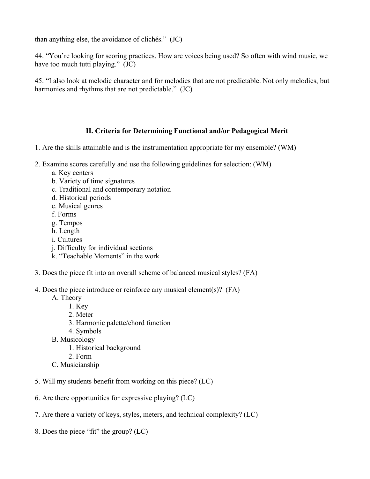than anything else, the avoidance of clichés." (JC)

44. "You're looking for scoring practices. How are voices being used? So often with wind music, we have too much tutti playing." (JC)

45. "I also look at melodic character and for melodies that are not predictable. Not only melodies, but harmonies and rhythms that are not predictable." (JC)

## **II. Criteria for Determining Functional and/or Pedagogical Merit**

- 1. Are the skills attainable and is the instrumentation appropriate for my ensemble? (WM)
- 2. Examine scores carefully and use the following guidelines for selection: (WM)
	- a. Key centers
	- b. Variety of time signatures
	- c. Traditional and contemporary notation
	- d. Historical periods
	- e. Musical genres
	- f. Forms
	- g. Tempos
	- h. Length
	- i. Cultures
	- j. Difficulty for individual sections
	- k. "Teachable Moments" in the work
- 3. Does the piece fit into an overall scheme of balanced musical styles? (FA)
- 4. Does the piece introduce or reinforce any musical element(s)? (FA)
	- A. Theory
		- 1. Key
			- 2. Meter
			- 3. Harmonic palette/chord function
			- 4. Symbols
	- B. Musicology
		- 1. Historical background
		- 2. Form
	- C. Musicianship
- 5. Will my students benefit from working on this piece? (LC)
- 6. Are there opportunities for expressive playing? (LC)
- 7. Are there a variety of keys, styles, meters, and technical complexity? (LC)
- 8. Does the piece "fit" the group? (LC)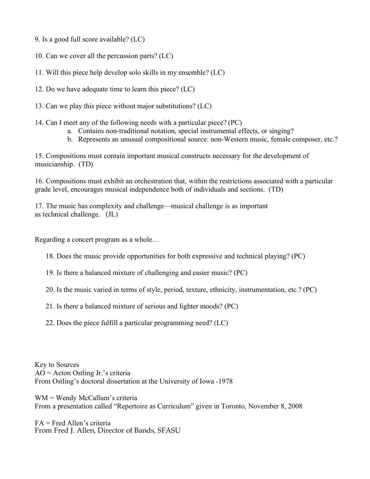9. Is a good full score available? (LC)

10. Can we cover all the percussion parts? (LC)

11. Will this piece help develop solo skills in my ensemble? (LC)

12. Do we have adequate time to learn this piece? (LC)

13. Can we play this piece without major substitutions? (LC)

14. Can I meet any of the following needs with a particular piece? (PC)

- a. Contains non-traditional notation, special instrumental effects, or singing?
- b. Represents an unusual compositional source: non-Western music, female composer, etc.?

15. Compositions must contain important musical constructs necessary for the development of musicianship. (TD)

16. Compositions must exhibit an orchestration that, within the restrictions associated with a particular grade level, encourages musical independence both of individuals and sections. (TD)

17. The music has complexity and challenge—musical challenge is as important as technical challenge. (JL)

Regarding a concert program as a whole…

18. Does the music provide opportunities for both expressive and technical playing? (PC)

19. Is there a balanced mixture of challenging and easier music? (PC)

20. Is the music varied in terms of style, period, texture, ethnicity, instrumentation, etc.? (PC)

21. Is there a balanced mixture of serious and lighter moods? (PC)

22. Does the piece fulfill a particular programming need? (LC)

Key to Sources AO = Acton Ostling Jr.'s criteria From Ostling's doctoral dissertation at the University of Iowa -1978

WM = Wendy McCallum's criteria From a presentation called "Repertoire as Curriculum" given in Toronto, November 8, 2008

FA = Fred Allen's criteria From Fred J. Allen, Director of Bands, SFASU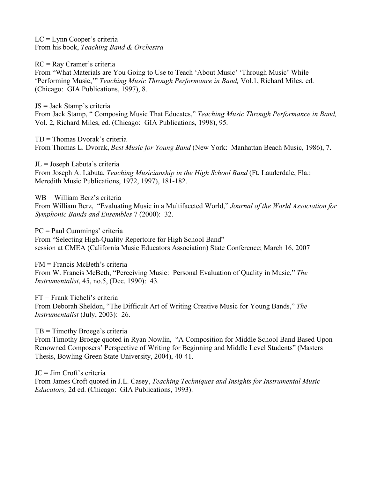LC = Lynn Cooper's criteria From his book, *Teaching Band & Orchestra*

RC = Ray Cramer's criteria From "What Materials are You Going to Use to Teach 'About Music' 'Through Music' While 'Performing Music,'" *Teaching Music Through Performance in Band,* Vol.1, Richard Miles, ed. (Chicago: GIA Publications, 1997), 8.

JS = Jack Stamp's criteria From Jack Stamp, " Composing Music That Educates," *Teaching Music Through Performance in Band,* Vol. 2, Richard Miles, ed. (Chicago: GIA Publications, 1998), 95.

TD = Thomas Dvorak's criteria From Thomas L. Dvorak, *Best Music for Young Band* (New York: Manhattan Beach Music, 1986), 7.

JL = Joseph Labuta's criteria From Joseph A. Labuta, *Teaching Musicianship in the High School Band* (Ft. Lauderdale, Fla.: Meredith Music Publications, 1972, 1997), 181-182.

WB = William Berz's criteria From William Berz, "Evaluating Music in a Multifaceted World," *Journal of the World Association for Symphonic Bands and Ensembles* 7 (2000): 32.

PC = Paul Cummings' criteria From "Selecting High-Quality Repertoire for High School Band" session at CMEA (California Music Educators Association) State Conference; March 16, 2007

FM = Francis McBeth's criteria From W. Francis McBeth, "Perceiving Music: Personal Evaluation of Quality in Music," *The Instrumentalist*, 45, no.5, (Dec. 1990): 43.

FT = Frank Ticheli's criteria From Deborah Sheldon, "The Difficult Art of Writing Creative Music for Young Bands," *The Instrumentalist* (July, 2003): 26.

TB = Timothy Broege's criteria From Timothy Broege quoted in Ryan Nowlin, "A Composition for Middle School Band Based Upon Renowned Composers' Perspective of Writing for Beginning and Middle Level Students" (Masters Thesis, Bowling Green State University, 2004), 40-41.

JC = Jim Croft's criteria From James Croft quoted in J.L. Casey, *Teaching Techniques and Insights for Instrumental Music Educators,* 2d ed. (Chicago: GIA Publications, 1993).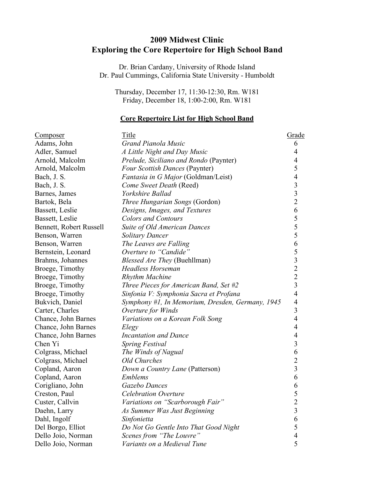# **2009 Midwest Clinic Exploring the Core Repertoire for High School Band**

Dr. Brian Cardany, University of Rhode Island Dr. Paul Cummings, California State University - Humboldt

Thursday, December 17, 11:30-12:30, Rm. W181 Friday, December 18, 1:00-2:00, Rm. W181

#### **Core Repertoire List for High School Band**

| <u>Composer</u>         | <b>Title</b>                                     | <u>Grade</u>                                    |
|-------------------------|--------------------------------------------------|-------------------------------------------------|
| Adams, John             | Grand Pianola Music                              | 6                                               |
| Adler, Samuel           | A Little Night and Day Music                     | $\overline{4}$                                  |
| Arnold, Malcolm         | Prelude, Siciliano and Rondo (Paynter)           | 4                                               |
| Arnold, Malcolm         | Four Scottish Dances (Paynter)                   | 5                                               |
| Bach, J. S.             | <i>Fantasia in G Major</i> (Goldman/Leist)       |                                                 |
| Bach, J. S.             | Come Sweet Death (Reed)                          | $\begin{array}{c} 4 \\ 3 \\ 3 \\ 2 \end{array}$ |
| Barnes, James           | Yorkshire Ballad                                 |                                                 |
| Bartok, Bela            | Three Hungarian Songs (Gordon)                   |                                                 |
| Bassett, Leslie         | Designs, Images, and Textures                    | 6                                               |
| Bassett, Leslie         | <b>Colors and Contours</b>                       |                                                 |
| Bennett, Robert Russell | Suite of Old American Dances                     | $\begin{array}{c} 5 \\ 5 \\ 5 \end{array}$      |
| Benson, Warren          | <b>Solitary Dancer</b>                           |                                                 |
| Benson, Warren          | The Leaves are Falling                           |                                                 |
| Bernstein, Leonard      | Overture to "Candide"                            |                                                 |
| Brahms, Johannes        | <i>Blessed Are They</i> (Buehllman)              | 653223                                          |
| Broege, Timothy         | <b>Headless Horseman</b>                         |                                                 |
| Broege, Timothy         | <b>Rhythm Machine</b>                            |                                                 |
| Broege, Timothy         | Three Pieces for American Band, Set #2           |                                                 |
| Broege, Timothy         | Sinfonia V: Symphonia Sacra et Profana           | $\overline{4}$                                  |
| Bukvich, Daniel         | Symphony #1, In Memorium, Dresden, Germany, 1945 | $\overline{4}$                                  |
| Carter, Charles         | Overture for Winds                               | $\overline{\mathbf{3}}$                         |
| Chance, John Barnes     | Variations on a Korean Folk Song                 | $\overline{4}$                                  |
| Chance, John Barnes     | Elegy                                            | $\overline{4}$                                  |
| Chance, John Barnes     | <b>Incantation and Dance</b>                     | $\overline{4}$                                  |
| Chen Yi                 | <b>Spring Festival</b>                           | $\overline{\mathbf{3}}$                         |
| Colgrass, Michael       | The Winds of Nagual                              | 6                                               |
| Colgrass, Michael       | <b>Old Churches</b>                              | $\frac{2}{3}$                                   |
| Copland, Aaron          | Down a Country Lane (Patterson)                  |                                                 |
| Copland, Aaron          | <b>Emblems</b>                                   | 6                                               |
| Corigliano, John        | Gazebo Dances                                    | 6                                               |
| Creston, Paul           | <b>Celebration Overture</b>                      | 5                                               |
| Custer, Callvin         | Variations on "Scarborough Fair"                 | $\overline{c}$                                  |
| Daehn, Larry            | As Summer Was Just Beginning                     | $\mathfrak{Z}$                                  |
| Dahl, Ingolf            | Sinfonietta                                      | 6                                               |
| Del Borgo, Elliot       | Do Not Go Gentle Into That Good Night            | 5                                               |
| Dello Joio, Norman      | Scenes from "The Louvre"                         | $\overline{4}$                                  |
| Dello Joio, Norman      | Variants on a Medieval Tune                      | 5                                               |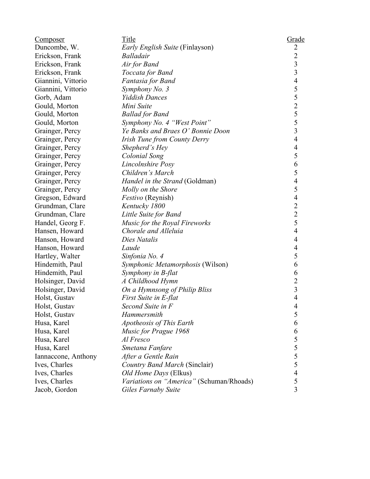| <u>Composer</u>     | Title                                    | Grade                                      |
|---------------------|------------------------------------------|--------------------------------------------|
| Duncombe, W.        | <i>Early English Suite</i> (Finlayson)   | $\overline{c}$                             |
| Erickson, Frank     | <b>Balladair</b>                         | $\overline{2}$                             |
| Erickson, Frank     | Air for Band                             | $\overline{\mathbf{3}}$                    |
| Erickson, Frank     | Toccata for Band                         | $\overline{3}$                             |
| Giannini, Vittorio  | Fantasia for Band                        | $\overline{\mathcal{L}}$                   |
| Giannini, Vittorio  | Symphony No. 3                           |                                            |
| Gorb, Adam          | <b>Yiddish Dances</b>                    |                                            |
| Gould, Morton       | Mini Suite                               | $5525$<br>$553$                            |
| Gould, Morton       | <b>Ballad for Band</b>                   |                                            |
| Gould, Morton       | Symphony No. 4 "West Point"              |                                            |
| Grainger, Percy     | Ye Banks and Braes O' Bonnie Doon        |                                            |
| Grainger, Percy     | Irish Tune from County Derry             | $\overline{4}$                             |
| Grainger, Percy     | Shepherd's Hey                           |                                            |
| Grainger, Percy     | Colonial Song                            | $\begin{array}{c} 4 \\ 5 \\ 6 \end{array}$ |
| Grainger, Percy     | Lincolnshire Posy                        |                                            |
| Grainger, Percy     | Children's March                         | 5                                          |
| Grainger, Percy     | Handel in the Strand (Goldman)           | $\overline{4}$                             |
| Grainger, Percy     | Molly on the Shore                       | 5                                          |
| Gregson, Edward     | <i>Festivo</i> (Reynish)                 | $\overline{4}$                             |
| Grundman, Clare     | Kentucky 1800                            |                                            |
| Grundman, Clare     | Little Suite for Band                    | $\begin{array}{c} 2 \\ 2 \\ 5 \end{array}$ |
| Handel, Georg F.    | Music for the Royal Fireworks            |                                            |
| Hansen, Howard      | Chorale and Alleluia                     | $\overline{4}$                             |
| Hanson, Howard      | Dies Natalis                             | $\overline{4}$                             |
| Hanson, Howard      | Laude                                    | $\overline{4}$                             |
| Hartley, Walter     | Sinfonia No. 4                           | 5                                          |
| Hindemith, Paul     | Symphonic Metamorphosis (Wilson)         | 6                                          |
| Hindemith, Paul     | Symphony in B-flat                       | 6                                          |
| Holsinger, David    | A Childhood Hymn                         | $\overline{c}$                             |
| Holsinger, David    | On a Hymnsong of Philip Bliss            | $\overline{\mathbf{3}}$                    |
| Holst, Gustav       | First Suite in E-flat                    | $\overline{4}$                             |
| Holst, Gustav       | Second Suite in F                        | 4                                          |
| Holst, Gustav       | Hammersmith                              | 5                                          |
| Husa, Karel         | Apotheosis of This Earth                 | 6                                          |
| Husa, Karel         | Music for Prague 1968                    | 6                                          |
| Husa, Karel         | Al Fresco                                | $\frac{5}{5}$<br>$\frac{5}{5}$             |
| Husa, Karel         | Smetana Fanfare                          |                                            |
| Iannaccone, Anthony | After a Gentle Rain                      |                                            |
| Ives, Charles       | Country Band March (Sinclair)            |                                            |
| Ives, Charles       | Old Home Days (Elkus)                    | $\overline{4}$                             |
| Ives, Charles       | Variations on "America" (Schuman/Rhoads) | 5                                          |
| Jacob, Gordon       | Giles Farnaby Suite                      | $\overline{3}$                             |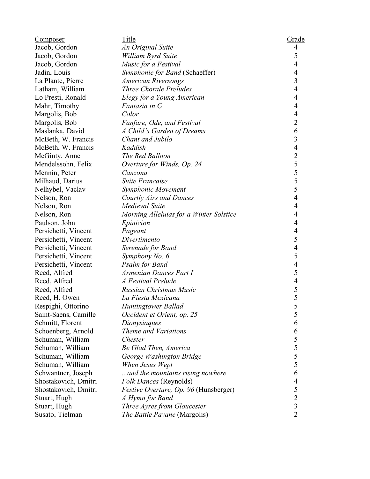| <u>Composer</u>      | Title                                   | <b>Grade</b>                               |
|----------------------|-----------------------------------------|--------------------------------------------|
| Jacob, Gordon        | An Original Suite                       | $\overline{4}$                             |
| Jacob, Gordon        | William Byrd Suite                      | 5                                          |
| Jacob, Gordon        | Music for a Festival                    | $\overline{4}$                             |
| Jadin, Louis         | Symphonie for Band (Schaeffer)          | $\overline{4}$                             |
| La Plante, Pierre    | <b>American Riversongs</b>              | $\overline{3}$                             |
| Latham, William      | Three Chorale Preludes                  | $\overline{4}$                             |
| Lo Presti, Ronald    | Elegy for a Young American              | $\overline{4}$                             |
| Mahr, Timothy        | Fantasia in G                           | $\overline{4}$                             |
| Margolis, Bob        | Color                                   | $\overline{4}$                             |
| Margolis, Bob        | Fanfare, Ode, and Festival              | $\overline{2}$                             |
| Maslanka, David      | A Child's Garden of Dreams              | 6                                          |
| McBeth, W. Francis   | Chant and Jubilo                        | $\overline{\mathbf{3}}$                    |
| McBeth, W. Francis   | Kaddish                                 | $\overline{4}$                             |
| McGinty, Anne        | The Red Balloon                         |                                            |
| Mendelssohn, Felix   | Overture for Winds, Op. 24              |                                            |
| Mennin, Peter        | Canzona                                 |                                            |
| Milhaud, Darius      | <b>Suite Francaise</b>                  |                                            |
| Nelhybel, Vaclav     | Symphonic Movement                      | $255$<br>$55$<br>$55$                      |
| Nelson, Ron          | <b>Courtly Airs and Dances</b>          | $\overline{4}$                             |
| Nelson, Ron          | Medieval Suite                          | $\overline{4}$                             |
| Nelson, Ron          | Morning Alleluias for a Winter Solstice | 4                                          |
| Paulson, John        | Epinicion                               | $\overline{4}$                             |
| Persichetti, Vincent | Pageant                                 | $\overline{4}$                             |
| Persichetti, Vincent | Divertimento                            | 5                                          |
| Persichetti, Vincent | Serenade for Band                       | $\overline{4}$                             |
| Persichetti, Vincent | Symphony No. 6                          | 5                                          |
| Persichetti, Vincent | <b>Psalm for Band</b>                   | $\overline{4}$                             |
| Reed, Alfred         | Armenian Dances Part I                  | 5                                          |
| Reed, Alfred         | A Festival Prelude                      | $\overline{4}$                             |
| Reed, Alfred         | Russian Christmas Music                 |                                            |
| Reed, H. Owen        | La Fiesta Mexicana                      | $rac{5}{5}$                                |
| Respighi, Ottorino   | Huntingtower Ballad                     | 5                                          |
| Saint-Saens, Camille | Occident et Orient, op. 25              | 5                                          |
| Schmitt, Florent     | Dionysiaques                            | 6                                          |
| Schoenberg, Arnold   | Theme and Variations                    | 6                                          |
| Schuman, William     | Chester                                 | 5                                          |
| Schuman, William     | Be Glad Then, America                   |                                            |
| Schuman, William     | George Washington Bridge                |                                            |
| Schuman, William     | When Jesus Wept                         | $\begin{array}{c} 5 \\ 5 \\ 5 \end{array}$ |
| Schwantner, Joseph   | and the mountains rising nowhere        | 6                                          |
| Shostakovich, Dmitri | Folk Dances (Reynolds)                  | $\overline{\mathcal{L}}$                   |
| Shostakovich, Dmitri | Festive Overture, Op. 96 (Hunsberger)   |                                            |
| Stuart, Hugh         | A Hymn for Band                         | $\begin{array}{c} 5 \\ 2 \\ 3 \end{array}$ |
| Stuart, Hugh         | Three Ayres from Gloucester             |                                            |
| Susato, Tielman      | The Battle Pavane (Margolis)            | $\overline{2}$                             |